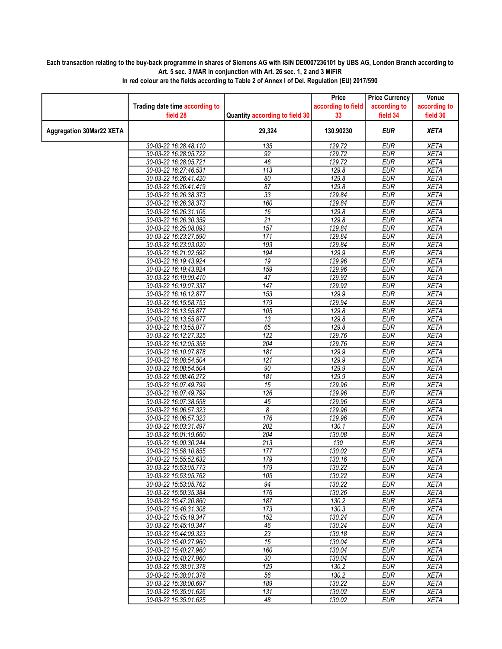## Each transaction relating to the buy-back programme in shares of Siemens AG with ISIN DE0007236101 by UBS AG, London Branch according to Art. 5 sec. 3 MAR in conjunction with Art. 26 sec. 1, 2 and 3 MiFiR

|                                 |                                                |                                | Price              | <b>Price Currency</b>    | Venue                      |
|---------------------------------|------------------------------------------------|--------------------------------|--------------------|--------------------------|----------------------------|
|                                 | Trading date time according to                 |                                | according to field | according to             | according to               |
|                                 | field 28                                       | Quantity according to field 30 | 33                 | field 34                 | field 36                   |
| <b>Aggregation 30Mar22 XETA</b> |                                                | 29,324                         | 130.90230          | <b>EUR</b>               | <b>XETA</b>                |
|                                 | 30-03-22 16:28:48.110                          | 135                            | 129.72             | <b>EUR</b>               | <b>XETA</b>                |
|                                 | 30-03-22 16:28:05.722                          | $\overline{92}$                | 129.72             | <b>EUR</b>               | <b>XETA</b>                |
|                                 | 30-03-22 16:28:05.721                          | 46                             | 129.72             | <b>EUR</b>               | <b>XETA</b>                |
|                                 | 30-03-22 16:27:46.531                          | 113                            | 129.8              | <b>EUR</b>               | <b>XETA</b>                |
|                                 | 30-03-22 16:26:41.420                          | 80                             | 129.8              | <b>EUR</b>               | <b>XETA</b>                |
|                                 | 30-03-22 16:26:41.419                          | 87                             | 129.8              | <b>EUR</b>               | <b>XETA</b>                |
|                                 | 30-03-22 16:26:38.373                          | 33                             | 129.84             | <b>EUR</b>               | <b>XETA</b>                |
|                                 | 30-03-22 16:26:38.373                          | 160                            | 129.84             | <b>EUR</b>               | <b>XETA</b>                |
|                                 | 30-03-22 16:26:31.106                          | 16                             | 129.8              | <b>EUR</b>               | <b>XETA</b>                |
|                                 | 30-03-22 16:26:30.359                          | $\overline{21}$                | 129.8              | <b>EUR</b>               | <b>XETA</b>                |
|                                 | 30-03-22 16:25:08.093                          | 157                            | 129.84<br>129.84   | <b>EUR</b>               | <b>XETA</b>                |
|                                 | 30-03-22 16:23:27.590                          | 171<br>193                     |                    | <b>EUR</b><br><b>EUR</b> | <b>XETA</b><br><b>XETA</b> |
|                                 | 30-03-22 16:23:03.020<br>30-03-22 16:21:02.592 | 194                            | 129.84<br>129.9    | <b>EUR</b>               | <b>XETA</b>                |
|                                 | 30-03-22 16:19:43.924                          | $\overline{19}$                | 129.96             | <b>EUR</b>               | <b>XETA</b>                |
|                                 | 30-03-22 16:19:43.924                          | 159                            | 129.96             | <b>EUR</b>               | <b>XETA</b>                |
|                                 | 30-03-22 16:19:09.410                          | 47                             | 129.92             | <b>EUR</b>               | <b>XETA</b>                |
|                                 | 30-03-22 16:19:07.337                          | $\overline{147}$               | 129.92             | <b>EUR</b>               | <b>XETA</b>                |
|                                 | 30-03-22 16:16:12.877                          | 153                            | 129.9              | <b>EUR</b>               | <b>XETA</b>                |
|                                 | 30-03-22 16:15:58.753                          | 179                            | 129.94             | <b>EUR</b>               | <b>XETA</b>                |
|                                 | 30-03-22 16:13:55.877                          | 105                            | 129.8              | <b>EUR</b>               | <b>XETA</b>                |
|                                 | 30-03-22 16:13:55.877                          | 13                             | 129.8              | <b>EUR</b>               | <b>XETA</b>                |
|                                 | 30-03-22 16:13:55.877                          | 65                             | 129.8              | <b>EUR</b>               | <b>XETA</b>                |
|                                 | 30-03-22 16:12:27.325                          | 122                            | 129.76             | <b>EUR</b>               | <b>XETA</b>                |
|                                 | 30-03-22 16:12:05.358                          | 204                            | 129.76             | <b>EUR</b>               | <b>XETA</b>                |
|                                 | 30-03-22 16:10:07.878                          | $\overline{181}$               | 129.9              | <b>EUR</b>               | <b>XETA</b>                |
|                                 | 30-03-22 16:08:54.504                          | $\overline{121}$               | 129.9              | <b>EUR</b>               | <b>XETA</b>                |
|                                 | 30-03-22 16:08:54.504                          | 90                             | 129.9              | <b>EUR</b>               | <b>XETA</b>                |
|                                 | 30-03-22 16:08:46.272                          | 181                            | 129.9              | <b>EUR</b>               | <b>XETA</b>                |
|                                 | 30-03-22 16:07:49.799                          | 15                             | 129.96             | <b>EUR</b>               | <b>XETA</b>                |
|                                 | 30-03-22 16:07:49.799                          | $\overline{126}$               | 129.96             | <b>EUR</b>               | <b>XETA</b>                |
|                                 | 30-03-22 16:07:38.558                          | $\overline{45}$                | 129.96             | <b>EUR</b>               | <b>XETA</b>                |
|                                 | 30-03-22 16:06:57.323                          | 8                              | 129.96             | <b>EUR</b>               | <b>XETA</b>                |
|                                 | 30-03-22 16:06:57.323                          | 176                            | 129.96             | <b>EUR</b>               | <b>XETA</b>                |
|                                 | 30-03-22 16:03:31.497                          | $\overline{202}$               | 130.1              | EUR                      | XETA                       |
|                                 | 30-03-22 16:01:19.660                          | 204                            | 130.08             | <b>EUR</b>               | <b>XETA</b>                |
|                                 | 30-03-22 16:00:30.244                          | 213                            | 130                | <b>EUR</b>               | <b>XETA</b>                |
|                                 | 30-03-22 15:58:10.855                          | 177                            | 130.02             | <b>EUR</b>               | <b>XETA</b>                |
|                                 | 30-03-22 15:55:52.632                          | 179                            | 130.16             | <b>EUR</b>               | <b>XETA</b>                |
|                                 | 30-03-22 15:53:05.773                          | 179                            | 130.22             | <b>EUR</b>               | <b>XETA</b>                |
|                                 | 30-03-22 15:53:05.762<br>30-03-22 15:53:05.762 | 105<br>94                      | 130.22<br>130.22   | EUR<br><b>EUR</b>        | XETA<br><b>XETA</b>        |
|                                 | 30-03-22 15:50:35.384                          | 176                            | 130.26             | <b>EUR</b>               | <b>XETA</b>                |
|                                 | 30-03-22 15:47:20.860                          | 187                            | 130.2              | <b>EUR</b>               | XETA                       |
|                                 | 30-03-22 15:46:31.308                          | 173                            | 130.3              | <b>EUR</b>               | <b>XETA</b>                |
|                                 | 30-03-22 15:45:19.347                          | 152                            | 130.24             | <b>EUR</b>               | <b>XETA</b>                |
|                                 | 30-03-22 15:45:19.347                          | 46                             | 130.24             | EUR                      | XETA                       |
|                                 | 30-03-22 15:44:09.323                          | $\overline{23}$                | 130.18             | <b>EUR</b>               | <b>XETA</b>                |
|                                 | 30-03-22 15:40:27.960                          | $\overline{15}$                | 130.04             | <b>EUR</b>               | <b>XETA</b>                |
|                                 | 30-03-22 15:40:27.960                          | 160                            | 130.04             | <b>EUR</b>               | <b>XETA</b>                |
|                                 | 30-03-22 15:40:27.960                          | $\overline{30}$                | 130.04             | <b>EUR</b>               | <b>XETA</b>                |
|                                 | 30-03-22 15:38:01.378                          | 129                            | 130.2              | <b>EUR</b>               | <b>XETA</b>                |
|                                 | 30-03-22 15:38:01.378                          | 56                             | 130.2              | <b>EUR</b>               | <b>XETA</b>                |
|                                 | 30-03-22 15:38:00.697                          | 189                            | 130.22             | <b>EUR</b>               | <b>XETA</b>                |
|                                 | 30-03-22 15:35:01.626                          | 131                            | 130.02             | <b>EUR</b>               | <b>XETA</b>                |
|                                 | 30-03-22 15:35:01.625                          | 48                             | 130.02             | <b>EUR</b>               | XETA                       |

In red colour are the fields according to Table 2 of Annex I of Del. Regulation (EU) 2017/590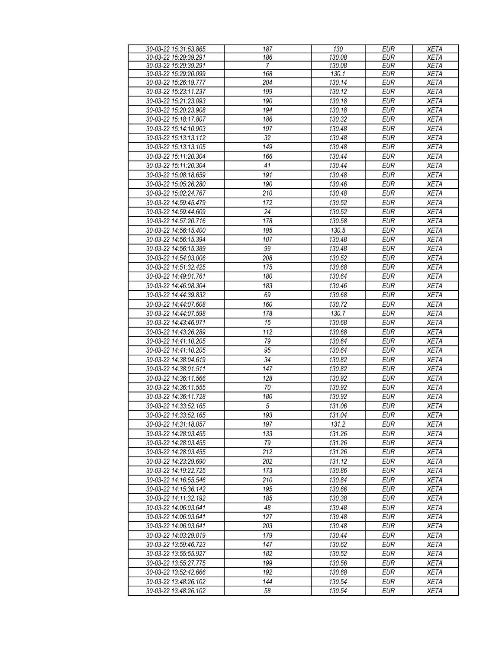| 30-03-22 15:31:53.865 | 187        | 130    | <b>EUR</b> | <b>XETA</b> |
|-----------------------|------------|--------|------------|-------------|
| 30-03-22 15:29:39.291 | 186        | 130.08 | <b>EUR</b> | <b>XETA</b> |
| 30-03-22 15:29:39.291 | 7          | 130.08 | <b>EUR</b> | <b>XETA</b> |
| 30-03-22 15:29:20.099 | 168        | 130.1  | <b>EUR</b> | <b>XETA</b> |
| 30-03-22 15:26:19.777 | 204        | 130.14 | <b>EUR</b> | <b>XETA</b> |
| 30-03-22 15:23:11.237 | 199        | 130.12 | <b>EUR</b> | <b>XETA</b> |
|                       |            |        |            |             |
| 30-03-22 15:21:23.093 | 190        | 130.18 | <b>EUR</b> | <b>XETA</b> |
| 30-03-22 15:20:23.908 | 194        | 130.18 | <b>EUR</b> | <b>XETA</b> |
| 30-03-22 15:18:17.807 | 186        | 130.32 | <b>EUR</b> | <b>XETA</b> |
| 30-03-22 15:14:10.903 | 197        | 130.48 | <b>EUR</b> | <b>XETA</b> |
| 30-03-22 15:13:13.112 | 32         | 130.48 | <b>EUR</b> | <b>XETA</b> |
| 30-03-22 15:13:13.105 | 149        | 130.48 | <b>EUR</b> | <b>XETA</b> |
| 30-03-22 15:11:20.304 | 166        | 130.44 | <b>EUR</b> | <b>XETA</b> |
| 30-03-22 15:11:20.304 | 41         | 130.44 | <b>EUR</b> | <b>XETA</b> |
| 30-03-22 15:08:18.659 | 191        | 130.48 | <b>EUR</b> | <b>XETA</b> |
| 30-03-22 15:05:26.280 | 190        | 130.46 | <b>EUR</b> | <b>XETA</b> |
| 30-03-22 15:02:24.767 | 210        | 130.48 | <b>EUR</b> | <b>XETA</b> |
|                       |            |        |            |             |
| 30-03-22 14:59:45.479 | 172        | 130.52 | <b>EUR</b> | <b>XETA</b> |
| 30-03-22 14:59:44.609 | 24         | 130.52 | <b>EUR</b> | <b>XETA</b> |
| 30-03-22 14:57:20.716 | 178        | 130.58 | <b>EUR</b> | <b>XETA</b> |
| 30-03-22 14:56:15.400 | 195        | 130.5  | <b>EUR</b> | <b>XETA</b> |
| 30-03-22 14:56:15.394 | 107        | 130.48 | <b>EUR</b> | <b>XETA</b> |
| 30-03-22 14:56:15.389 | 99         | 130.48 | <b>EUR</b> | <b>XETA</b> |
| 30-03-22 14:54:03.006 | 208        | 130.52 | <b>EUR</b> | <b>XETA</b> |
| 30-03-22 14:51:32.425 | 175        | 130.68 | <b>EUR</b> | <b>XETA</b> |
| 30-03-22 14:49:01.761 | 180        | 130.64 | <b>EUR</b> | <b>XETA</b> |
| 30-03-22 14:46:08.304 | 183        | 130.46 | <b>EUR</b> | <b>XETA</b> |
| 30-03-22 14:44:39.832 | 69         | 130.68 | <b>EUR</b> | <b>XETA</b> |
| 30-03-22 14:44:07.608 | 160        | 130.72 | <b>EUR</b> | <b>XETA</b> |
| 30-03-22 14:44:07.598 | 178        | 130.7  | <b>EUR</b> | <b>XETA</b> |
|                       |            |        |            |             |
| 30-03-22 14:43:46.971 | 15         | 130.68 | <b>EUR</b> | <b>XETA</b> |
| 30-03-22 14:43:26.289 | 112        | 130.68 | <b>EUR</b> | <b>XETA</b> |
| 30-03-22 14:41:10.205 | 79         | 130.64 | <b>EUR</b> | <b>XETA</b> |
| 30-03-22 14:41:10.205 | 95         | 130.64 | <b>EUR</b> | <b>XETA</b> |
| 30-03-22 14:38:04.619 | 34         | 130.82 | <b>EUR</b> | <b>XETA</b> |
| 30-03-22 14:38:01.511 | 147        | 130.82 | <b>EUR</b> | <b>XETA</b> |
| 30-03-22 14:36:11.566 | 128        | 130.92 | <b>EUR</b> | <b>XETA</b> |
| 30-03-22 14:36:11.555 | 70         | 130.92 | <b>EUR</b> | <b>XETA</b> |
| 30-03-22 14:36:11.728 | 180        | 130.92 | EUR        | <b>XETA</b> |
| 30-03-22 14:33:52.165 | $\sqrt{5}$ | 131.06 | <b>EUR</b> | <b>XETA</b> |
| 30-03-22 14:33:52.165 | 193        | 131.04 | EUR        | <b>XETA</b> |
| 30-03-22 14:31:18.057 | 197        | 131.2  | <b>EUR</b> | <b>XETA</b> |
| 30-03-22 14:28:03.455 | 133        | 131.26 | EUR        | XETA        |
| 30-03-22 14:28:03.455 | 79         | 131.26 | <b>EUR</b> | <b>XETA</b> |
|                       |            |        |            |             |
| 30-03-22 14:28:03.455 | 212        | 131.26 | <b>EUR</b> | <b>XETA</b> |
| 30-03-22 14:23:29.690 | 202        | 131.12 | <b>EUR</b> | <b>XETA</b> |
| 30-03-22 14:19:22.725 | 173        | 130.86 | EUR        | <b>XETA</b> |
| 30-03-22 14:16:55.546 | 210        | 130.84 | <b>EUR</b> | <b>XETA</b> |
| 30-03-22 14:15:36.142 | 195        | 130.66 | <b>EUR</b> | <b>XETA</b> |
| 30-03-22 14:11:32.192 | 185        | 130.38 | <b>EUR</b> | <b>XETA</b> |
| 30-03-22 14:06:03.641 | 48         | 130.48 | EUR        | <b>XETA</b> |
| 30-03-22 14:06:03.641 | 127        | 130.48 | <b>EUR</b> | <b>XETA</b> |
| 30-03-22 14:06:03.641 | 203        | 130.48 | <b>EUR</b> | <b>XETA</b> |
| 30-03-22 14:03:29.019 | 179        | 130.44 | <b>EUR</b> | <b>XETA</b> |
| 30-03-22 13:59:46.723 | 147        | 130.62 | <b>EUR</b> | <b>XETA</b> |
| 30-03-22 13:55:55.927 | 182        | 130.52 | <b>EUR</b> | <b>XETA</b> |
| 30-03-22 13:55:27.775 | 199        | 130.56 | <b>EUR</b> | <b>XETA</b> |
| 30-03-22 13:52:42.666 | 192        | 130.68 | <b>EUR</b> | <b>XETA</b> |
|                       |            |        |            |             |
| 30-03-22 13:48:26.102 | 144        | 130.54 | <b>EUR</b> | <b>XETA</b> |
| 30-03-22 13:48:26.102 | 58         | 130.54 | EUR        | <b>XETA</b> |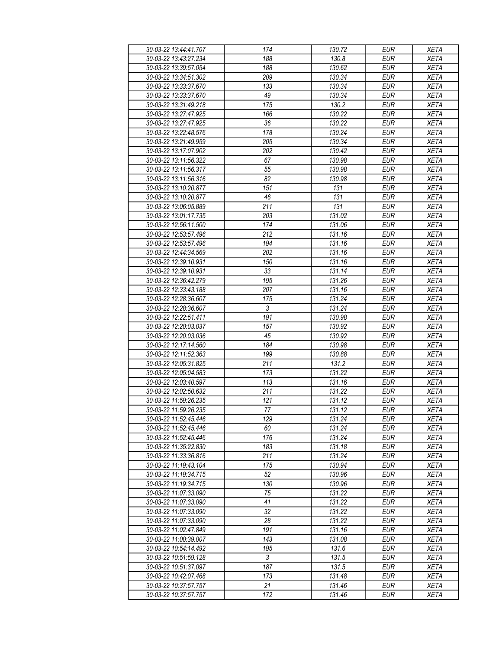| 30-03-22 13:44:41.707 | 174        | 130.72 | <b>EUR</b> | <b>XETA</b> |
|-----------------------|------------|--------|------------|-------------|
| 30-03-22 13:43:27.234 | 188        | 130.8  | <b>EUR</b> | <b>XETA</b> |
| 30-03-22 13:39:57.054 | 188        | 130.62 | <b>EUR</b> | <b>XETA</b> |
| 30-03-22 13:34:51.302 | 209        | 130.34 | <b>EUR</b> | <b>XETA</b> |
|                       |            |        |            |             |
| 30-03-22 13:33:37.670 | 133        | 130.34 | <b>EUR</b> | <b>XETA</b> |
| 30-03-22 13:33:37.670 | 49         | 130.34 | <b>EUR</b> | <b>XETA</b> |
| 30-03-22 13:31:49.218 | 175        | 130.2  | <b>EUR</b> | <b>XETA</b> |
| 30-03-22 13:27:47.925 | 166        | 130.22 | <b>EUR</b> | <b>XETA</b> |
| 30-03-22 13:27:47.925 | 36         | 130.22 | <b>EUR</b> | <b>XETA</b> |
| 30-03-22 13:22:48.576 | 178        | 130.24 | <b>EUR</b> | <b>XETA</b> |
| 30-03-22 13:21:49.959 | 205        | 130.34 | <b>EUR</b> | <b>XETA</b> |
| 30-03-22 13:17:07.902 | 202        | 130.42 | <b>EUR</b> | <b>XETA</b> |
| 30-03-22 13:11:56.322 | 67         | 130.98 | <b>EUR</b> | <b>XETA</b> |
| 30-03-22 13:11:56.317 | 55         | 130.98 | <b>EUR</b> | <b>XETA</b> |
| 30-03-22 13:11:56.316 | 82         | 130.98 | <b>EUR</b> | <b>XETA</b> |
| 30-03-22 13:10:20.877 | 151        | 131    | <b>EUR</b> | <b>XETA</b> |
|                       |            |        |            |             |
| 30-03-22 13:10:20.877 | 46         | 131    | <b>EUR</b> | <b>XETA</b> |
| 30-03-22 13:06:05.889 | 211        | 131    | <b>EUR</b> | <b>XETA</b> |
| 30-03-22 13:01:17.735 | 203        | 131.02 | <b>EUR</b> | <b>XETA</b> |
| 30-03-22 12:56:11.500 | 174        | 131.06 | <b>EUR</b> | <b>XETA</b> |
| 30-03-22 12:53:57.496 | 212        | 131.16 | <b>EUR</b> | <b>XETA</b> |
| 30-03-22 12:53:57.496 | 194        | 131.16 | <b>EUR</b> | <b>XETA</b> |
| 30-03-22 12:44:34.569 | 202        | 131.16 | <b>EUR</b> | <b>XETA</b> |
| 30-03-22 12:39:10.931 | 150        | 131.16 | <b>EUR</b> | <b>XETA</b> |
| 30-03-22 12:39:10.931 | 33         | 131.14 | <b>EUR</b> | <b>XETA</b> |
| 30-03-22 12:36:42.279 | 195        | 131.26 | <b>EUR</b> | <b>XETA</b> |
| 30-03-22 12:33:43.188 | 207        | 131.16 | <b>EUR</b> | <b>XETA</b> |
| 30-03-22 12:28:36.607 | 175        | 131.24 | <b>EUR</b> | <b>XETA</b> |
|                       |            |        |            |             |
| 30-03-22 12:28:36.607 | $\sqrt{3}$ | 131.24 | <b>EUR</b> | <b>XETA</b> |
| 30-03-22 12:22:51.411 | 191        | 130.98 | <b>EUR</b> | <b>XETA</b> |
| 30-03-22 12:20:03.037 | 157        | 130.92 | <b>EUR</b> | <b>XETA</b> |
| 30-03-22 12:20:03.036 | 45         | 130.92 | <b>EUR</b> | <b>XETA</b> |
| 30-03-22 12:17:14.560 | 184        | 130.98 | <b>EUR</b> | <b>XETA</b> |
| 30-03-22 12:11:52.363 | 199        | 130.88 | <b>EUR</b> | <b>XETA</b> |
| 30-03-22 12:05:31.825 | 211        | 131.2  | <b>EUR</b> | <b>XETA</b> |
| 30-03-22 12:05:04.583 | 173        | 131.22 | <b>EUR</b> | <b>XETA</b> |
| 30-03-22 12:03:40.597 | 113        | 131.16 | <b>EUR</b> | <b>XETA</b> |
| 30-03-22 12:02:50.632 | 211        | 131.22 | <b>EUR</b> | <b>XETA</b> |
| 30-03-22 11:59:26.235 | 121        | 131.12 | <b>EUR</b> | <b>XETA</b> |
| 30-03-22 11:59:26.235 | 77         | 131.12 | <b>EUR</b> | <b>XETA</b> |
| 30-03-22 11:52:45.446 | 129        | 131.24 | EUR        | XETA        |
| 30-03-22 11:52:45.446 | 60         | 131.24 | <b>EUR</b> | <b>XETA</b> |
| 30-03-22 11:52:45.446 | 176        |        | <b>EUR</b> |             |
|                       |            | 131.24 |            | <b>XETA</b> |
| 30-03-22 11:35:22.830 | 183        | 131.18 | <b>EUR</b> | <b>XETA</b> |
| 30-03-22 11:33:36.816 | 211        | 131.24 | <b>EUR</b> | <b>XETA</b> |
| 30-03-22 11:19:43.104 | 175        | 130.94 | <b>EUR</b> | <b>XETA</b> |
| 30-03-22 11:19:34.715 | 52         | 130.96 | <b>EUR</b> | <b>XETA</b> |
| 30-03-22 11:19:34.715 | 130        | 130.96 | <b>EUR</b> | <b>XETA</b> |
| 30-03-22 11:07:33.090 | 75         | 131.22 | <b>EUR</b> | <b>XETA</b> |
| 30-03-22 11:07:33.090 | 41         | 131.22 | EUR        | <b>XETA</b> |
| 30-03-22 11:07:33.090 | 32         | 131.22 | <b>EUR</b> | <b>XETA</b> |
| 30-03-22 11:07:33.090 | 28         | 131.22 | <b>EUR</b> | <b>XETA</b> |
| 30-03-22 11:02:47.849 | 191        | 131.16 | <b>EUR</b> | <b>XETA</b> |
| 30-03-22 11:00:39.007 | 143        | 131.08 | EUR        | <b>XETA</b> |
| 30-03-22 10:54:14.492 | 195        | 131.6  | <b>EUR</b> | <b>XETA</b> |
| 30-03-22 10:51:59.128 | 3          | 131.5  | <b>EUR</b> | <b>XETA</b> |
|                       |            |        |            |             |
| 30-03-22 10:51:37.097 | 187        | 131.5  | <b>EUR</b> | <b>XETA</b> |
| 30-03-22 10:42:07.468 | 173        | 131.48 | EUR        | XETA        |
| 30-03-22 10:37:57.757 | 21         | 131.46 | EUR        | <b>XETA</b> |
| 30-03-22 10:37:57.757 | 172        | 131.46 | EUR        | <b>XETA</b> |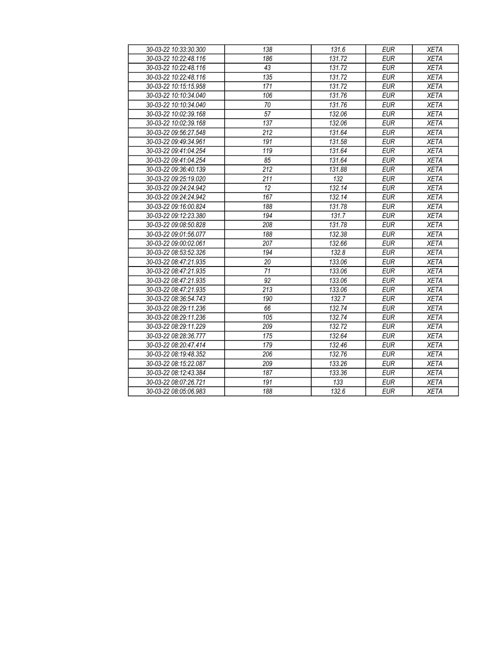| 30-03-22 10:33:30.300 | 138              | 131.6  | <b>EUR</b> | <b>XETA</b> |
|-----------------------|------------------|--------|------------|-------------|
| 30-03-22 10:22:48.116 | 186              | 131.72 | <b>EUR</b> | <b>XETA</b> |
| 30-03-22 10:22:48.116 | $\overline{43}$  | 131.72 | <b>EUR</b> | <b>XETA</b> |
| 30-03-22 10:22:48.116 | $\overline{135}$ | 131.72 | <b>EUR</b> | <b>XETA</b> |
| 30-03-22 10:15:15.958 | 171              | 131.72 | <b>EUR</b> | <b>XETA</b> |
| 30-03-22 10:10:34.040 | 106              | 131.76 | <b>EUR</b> | <b>XETA</b> |
| 30-03-22 10:10:34.040 | $\overline{70}$  | 131.76 | <b>EUR</b> | <b>XETA</b> |
| 30-03-22 10:02:39.168 | 57               | 132.06 | <b>EUR</b> | <b>XETA</b> |
| 30-03-22 10:02:39.168 | 137              | 132.06 | <b>EUR</b> | <b>XETA</b> |
| 30-03-22 09:56:27.548 | 212              | 131.64 | <b>EUR</b> | <b>XETA</b> |
| 30-03-22 09:49:34.961 | 191              | 131.58 | <b>EUR</b> | <b>XETA</b> |
| 30-03-22 09:41:04.254 | 119              | 131.64 | <b>EUR</b> | <b>XETA</b> |
| 30-03-22 09:41:04.254 | 85               | 131.64 | <b>EUR</b> | <b>XETA</b> |
| 30-03-22 09:36:40.139 | $\overline{212}$ | 131.88 | <b>EUR</b> | <b>XETA</b> |
| 30-03-22 09:25:19.020 | 211              | 132    | <b>EUR</b> | <b>XETA</b> |
| 30-03-22 09:24:24.942 | $\overline{12}$  | 132.14 | <b>EUR</b> | <b>XETA</b> |
| 30-03-22 09:24:24.942 | 167              | 132.14 | <b>EUR</b> | <b>XETA</b> |
| 30-03-22 09:16:00.824 | 188              | 131.78 | <b>EUR</b> | <b>XETA</b> |
| 30-03-22 09:12:23.380 | 194              | 131.7  | <b>EUR</b> | <b>XETA</b> |
| 30-03-22 09:08:50.828 | 208              | 131.78 | <b>EUR</b> | <b>XETA</b> |
| 30-03-22 09:01:56.077 | 188              | 132.38 | <b>EUR</b> | <b>XETA</b> |
| 30-03-22 09:00:02.061 | 207              | 132.66 | <b>EUR</b> | <b>XETA</b> |
| 30-03-22 08:53:52.326 | 194              | 132.8  | <b>EUR</b> | <b>XETA</b> |
| 30-03-22 08:47:21.935 | 20               | 133.06 | <b>EUR</b> | <b>XETA</b> |
| 30-03-22 08:47:21.935 | 71               | 133.06 | <b>EUR</b> | <b>XETA</b> |
| 30-03-22 08:47:21.935 | 92               | 133.06 | <b>EUR</b> | <b>XETA</b> |
| 30-03-22 08:47:21.935 | 213              | 133.06 | <b>EUR</b> | <b>XETA</b> |
| 30-03-22 08:36:54.743 | 190              | 132.7  | <b>EUR</b> | <b>XETA</b> |
| 30-03-22 08:29:11.236 | 66               | 132.74 | <b>EUR</b> | <b>XETA</b> |
| 30-03-22 08:29:11.236 | 105              | 132.74 | <b>EUR</b> | <b>XETA</b> |
| 30-03-22 08:29:11.229 | 209              | 132.72 | <b>EUR</b> | <b>XETA</b> |
| 30-03-22 08:28:36.777 | 175              | 132.64 | <b>EUR</b> | <b>XETA</b> |
| 30-03-22 08:20:47.414 | 179              | 132.46 | <b>EUR</b> | <b>XETA</b> |
| 30-03-22 08:19:48.352 | 206              | 132.76 | <b>EUR</b> | <b>XETA</b> |
| 30-03-22 08:15:22.087 | 209              | 133.26 | <b>EUR</b> | <b>XETA</b> |
| 30-03-22 08:12:43.384 | 187              | 133.36 | <b>EUR</b> | <b>XETA</b> |
| 30-03-22 08:07:26.721 | 191              | 133    | <b>EUR</b> | <b>XETA</b> |
| 30-03-22 08:05:06.983 | 188              | 132.6  | <b>EUR</b> | <b>XETA</b> |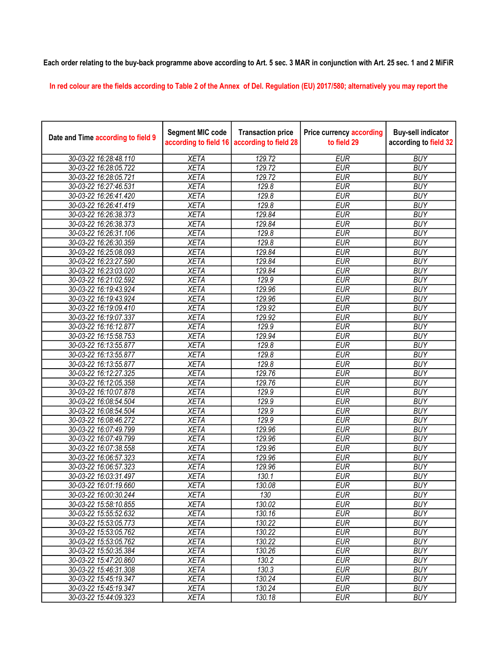## Each order relating to the buy-back programme above according to Art. 5 sec. 3 MAR in conjunction with Art. 25 sec. 1 and 2 MiFiR

In red colour are the fields according to Table 2 of the Annex of Del. Regulation (EU) 2017/580; alternatively you may report the

| Date and Time according to field 9 | <b>Segment MIC code</b><br>according to field 16 | <b>Transaction price</b><br>according to field 28 | <b>Price currency according</b><br>to field 29 | <b>Buy-sell indicator</b><br>according to field 32 |
|------------------------------------|--------------------------------------------------|---------------------------------------------------|------------------------------------------------|----------------------------------------------------|
| 30-03-22 16:28:48.110              | <b>XETA</b>                                      | 129.72                                            | <b>EUR</b>                                     | <b>BUY</b>                                         |
| 30-03-22 16:28:05.722              | <b>XETA</b>                                      | 129.72                                            | <b>EUR</b>                                     | <b>BUY</b>                                         |
| 30-03-22 16:28:05.721              | <b>XETA</b>                                      | 129.72                                            | <b>EUR</b>                                     | <b>BUY</b>                                         |
| 30-03-22 16:27:46.531              | <b>XETA</b>                                      | 129.8                                             | <b>EUR</b>                                     | <b>BUY</b>                                         |
| 30-03-22 16:26:41.420              | <b>XETA</b>                                      | 129.8                                             | <b>EUR</b>                                     | <b>BUY</b>                                         |
| 30-03-22 16:26:41.419              | <b>XETA</b>                                      | 129.8                                             | <b>EUR</b>                                     | <b>BUY</b>                                         |
| 30-03-22 16:26:38.373              | <b>XETA</b>                                      | 129.84                                            | <b>EUR</b>                                     | <b>BUY</b>                                         |
| 30-03-22 16:26:38.373              | <b>XETA</b>                                      | 129.84                                            | <b>EUR</b>                                     | <b>BUY</b>                                         |
| 30-03-22 16:26:31.106              | <b>XETA</b>                                      | 129.8                                             | <b>EUR</b>                                     | <b>BUY</b>                                         |
| 30-03-22 16:26:30.359              | <b>XETA</b>                                      | 129.8                                             | <b>EUR</b>                                     | <b>BUY</b>                                         |
| 30-03-22 16:25:08.093              | <b>XETA</b>                                      | 129.84                                            | <b>EUR</b>                                     | <b>BUY</b>                                         |
| 30-03-22 16:23:27.590              | <b>XETA</b>                                      | 129.84                                            | <b>EUR</b>                                     | <b>BUY</b>                                         |
| 30-03-22 16:23:03.020              | <b>XETA</b>                                      | 129.84                                            | <b>EUR</b>                                     | <b>BUY</b>                                         |
| 30-03-22 16:21:02.592              | <b>XETA</b>                                      | 129.9                                             | <b>EUR</b>                                     | <b>BUY</b>                                         |
| 30-03-22 16:19:43.924              | <b>XETA</b>                                      | 129.96                                            | <b>EUR</b>                                     | <b>BUY</b>                                         |
| 30-03-22 16:19:43.924              | <b>XETA</b>                                      | 129.96                                            | <b>EUR</b>                                     | <b>BUY</b>                                         |
| 30-03-22 16:19:09.410              | <b>XETA</b>                                      | 129.92                                            | <b>EUR</b>                                     | <b>BUY</b>                                         |
| 30-03-22 16:19:07.337              | <b>XETA</b>                                      | 129.92                                            | <b>EUR</b>                                     | <b>BUY</b>                                         |
| 30-03-22 16:16:12.877              | <b>XETA</b>                                      | 129.9                                             | <b>EUR</b>                                     | <b>BUY</b>                                         |
| 30-03-22 16:15:58.753              | <b>XETA</b>                                      | 129.94                                            | <b>EUR</b>                                     | <b>BUY</b>                                         |
| 30-03-22 16:13:55.877              | <b>XETA</b>                                      | 129.8                                             | <b>EUR</b>                                     | <b>BUY</b>                                         |
| 30-03-22 16:13:55.877              | <b>XETA</b>                                      | 129.8                                             | <b>EUR</b>                                     | <b>BUY</b>                                         |
| 30-03-22 16:13:55.877              | <b>XETA</b>                                      | 129.8                                             | <b>EUR</b>                                     | <b>BUY</b>                                         |
| 30-03-22 16:12:27.325              | <b>XETA</b>                                      | 129.76                                            | <b>EUR</b>                                     | <b>BUY</b>                                         |
| 30-03-22 16:12:05.358              | <b>XETA</b>                                      | 129.76                                            | <b>EUR</b>                                     | <b>BUY</b>                                         |
| 30-03-22 16:10:07.878              | <b>XETA</b>                                      | 129.9                                             | <b>EUR</b>                                     | <b>BUY</b>                                         |
| 30-03-22 16:08:54.504              | <b>XETA</b>                                      | 129.9                                             | <b>EUR</b>                                     | <b>BUY</b>                                         |
| 30-03-22 16:08:54.504              | <b>XETA</b>                                      | 129.9                                             | <b>EUR</b>                                     | <b>BUY</b>                                         |
| 30-03-22 16:08:46.272              | <b>XETA</b>                                      | 129.9                                             | <b>EUR</b>                                     | <b>BUY</b>                                         |
| 30-03-22 16:07:49.799              | <b>XETA</b>                                      | 129.96                                            | <b>EUR</b>                                     | <b>BUY</b>                                         |
| 30-03-22 16:07:49.799              | <b>XETA</b>                                      | 129.96                                            | <b>EUR</b>                                     | <b>BUY</b>                                         |
| 30-03-22 16:07:38.558              | <b>XETA</b>                                      | 129.96                                            | <b>EUR</b>                                     | <b>BUY</b>                                         |
| 30-03-22 16:06:57.323              | <b>XETA</b>                                      | 129.96                                            | <b>EUR</b>                                     | <b>BUY</b>                                         |
| 30-03-22 16:06:57.323              | <b>XETA</b>                                      | 129.96                                            | <b>EUR</b>                                     | <b>BUY</b>                                         |
| 30-03-22 16:03:31.497              | <b>XETA</b>                                      | 130.1                                             | <b>EUR</b>                                     | <b>BUY</b>                                         |
| 30-03-22 16:01:19.660              | <b>XETA</b>                                      | 130.08                                            | <b>EUR</b>                                     | <b>BUY</b>                                         |
| 30-03-22 16:00:30.244              | <b>XETA</b>                                      | 130                                               | <b>EUR</b>                                     | <b>BUY</b>                                         |
| 30-03-22 15:58:10.855              | <b>XETA</b>                                      | 130.02                                            | <b>EUR</b>                                     | <b>BUY</b>                                         |
| 30-03-22 15:55:52.632              | <b>XETA</b>                                      | 130.16                                            | <b>EUR</b>                                     | <b>BUY</b>                                         |
| 30-03-22 15:53:05.773              | <b>XETA</b>                                      | 130.22                                            | <b>EUR</b>                                     | <b>BUY</b>                                         |
| 30-03-22 15:53:05.762              | <b>XETA</b>                                      | 130.22                                            | <b>EUR</b>                                     | <b>BUY</b>                                         |
| 30-03-22 15:53:05.762              | <b>XETA</b>                                      | 130.22                                            | <b>EUR</b>                                     | <b>BUY</b>                                         |
| 30-03-22 15:50:35.384              | <b>XETA</b>                                      | 130.26                                            | <b>EUR</b>                                     | <b>BUY</b>                                         |
| 30-03-22 15:47:20.860              | <b>XETA</b>                                      | 130.2                                             | <b>EUR</b>                                     | <b>BUY</b>                                         |
| 30-03-22 15:46:31.308              | <b>XETA</b>                                      | 130.3                                             | <b>EUR</b>                                     | <b>BUY</b>                                         |
| 30-03-22 15:45:19.347              | <b>XETA</b>                                      | 130.24                                            | <b>EUR</b>                                     | <b>BUY</b>                                         |
| 30-03-22 15:45:19.347              | <b>XETA</b>                                      | 130.24                                            | <b>EUR</b>                                     | <b>BUY</b>                                         |
| 30-03-22 15:44:09.323              | <b>XETA</b>                                      | 130.18                                            | <b>EUR</b>                                     | <b>BUY</b>                                         |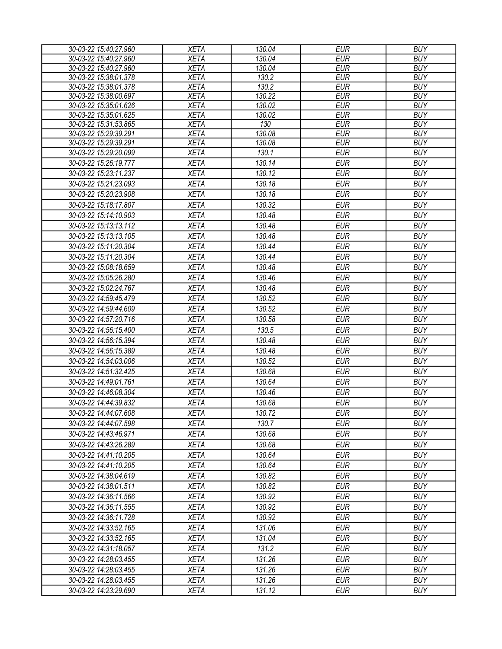| 30-03-22 15:40:27.960 | <b>XETA</b> | 130.04 | <b>EUR</b> | <b>BUY</b> |
|-----------------------|-------------|--------|------------|------------|
| 30-03-22 15:40:27.960 | <b>XETA</b> | 130.04 | <b>EUR</b> | <b>BUY</b> |
| 30-03-22 15:40:27.960 | <b>XETA</b> | 130.04 | <b>EUR</b> | <b>BUY</b> |
| 30-03-22 15:38:01.378 | <b>XETA</b> | 130.2  | <b>EUR</b> | <b>BUY</b> |
| 30-03-22 15:38:01.378 | <b>XETA</b> | 130.2  | <b>EUR</b> | <b>BUY</b> |
| 30-03-22 15:38:00.697 | <b>XETA</b> | 130.22 | <b>EUR</b> | <b>BUY</b> |
| 30-03-22 15:35:01.626 | <b>XETA</b> | 130.02 | <b>EUR</b> | <b>BUY</b> |
| 30-03-22 15:35:01.625 | <b>XETA</b> | 130.02 | <b>EUR</b> | <b>BUY</b> |
| 30-03-22 15:31:53.865 | <b>XETA</b> | 130    | <b>EUR</b> | <b>BUY</b> |
| 30-03-22 15:29:39.291 | <b>XETA</b> | 130.08 | <b>EUR</b> | <b>BUY</b> |
| 30-03-22 15:29:39.291 | <b>XETA</b> | 130.08 | <b>EUR</b> | <b>BUY</b> |
| 30-03-22 15:29:20.099 | <b>XETA</b> | 130.1  | <b>EUR</b> | <b>BUY</b> |
| 30-03-22 15:26:19.777 | <b>XETA</b> | 130.14 | <b>EUR</b> | <b>BUY</b> |
| 30-03-22 15:23:11.237 | <b>XETA</b> | 130.12 | <b>EUR</b> | <b>BUY</b> |
| 30-03-22 15:21:23.093 | <b>XETA</b> | 130.18 | <b>EUR</b> | <b>BUY</b> |
| 30-03-22 15:20:23.908 | <b>XETA</b> | 130.18 | <b>EUR</b> | <b>BUY</b> |
| 30-03-22 15:18:17.807 | <b>XETA</b> | 130.32 | <b>EUR</b> | <b>BUY</b> |
| 30-03-22 15:14:10.903 | <b>XETA</b> | 130.48 | <b>EUR</b> | <b>BUY</b> |
| 30-03-22 15:13:13.112 | <b>XETA</b> | 130.48 | <b>EUR</b> | <b>BUY</b> |
| 30-03-22 15:13:13.105 | <b>XETA</b> | 130.48 | <b>EUR</b> | <b>BUY</b> |
| 30-03-22 15:11:20.304 | <b>XETA</b> | 130.44 | <b>EUR</b> | <b>BUY</b> |
| 30-03-22 15:11:20.304 | <b>XETA</b> | 130.44 | <b>EUR</b> | <b>BUY</b> |
| 30-03-22 15:08:18.659 | <b>XETA</b> | 130.48 | <b>EUR</b> | <b>BUY</b> |
| 30-03-22 15:05:26.280 | <b>XETA</b> | 130.46 | <b>EUR</b> | <b>BUY</b> |
| 30-03-22 15:02:24.767 | <b>XETA</b> | 130.48 | <b>EUR</b> | <b>BUY</b> |
|                       |             |        |            |            |
| 30-03-22 14:59:45.479 | <b>XETA</b> | 130.52 | <b>EUR</b> | <b>BUY</b> |
| 30-03-22 14:59:44.609 | <b>XETA</b> | 130.52 | <b>EUR</b> | <b>BUY</b> |
| 30-03-22 14:57:20.716 | <b>XETA</b> | 130.58 | <b>EUR</b> | <b>BUY</b> |
| 30-03-22 14:56:15.400 | <b>XETA</b> | 130.5  | <b>EUR</b> | <b>BUY</b> |
| 30-03-22 14:56:15.394 | <b>XETA</b> | 130.48 | <b>EUR</b> | <b>BUY</b> |
| 30-03-22 14:56:15.389 | <b>XETA</b> | 130.48 | <b>EUR</b> | <b>BUY</b> |
| 30-03-22 14:54:03.006 | <b>XETA</b> | 130.52 | <b>EUR</b> | <b>BUY</b> |
| 30-03-22 14:51:32.425 | <b>XETA</b> | 130.68 | <b>EUR</b> | <b>BUY</b> |
| 30-03-22 14:49:01.761 | <b>XETA</b> | 130.64 | <b>EUR</b> | <b>BUY</b> |
| 30-03-22 14:46:08.304 | <b>XETA</b> | 130.46 | <b>EUR</b> | <b>BUY</b> |
| 30-03-22 14:44:39.832 | <b>XETA</b> | 130.68 | <b>EUR</b> | <b>BUY</b> |
| 30-03-22 14:44:07.608 | <b>XETA</b> | 130.72 | <b>EUR</b> | <b>BUY</b> |
| 30-03-22 14:44:07.598 | <b>XETA</b> | 130.7  | EUR        | <b>BUY</b> |
| 30-03-22 14:43:46.971 | <b>XETA</b> | 130.68 | <b>EUR</b> | <b>BUY</b> |
| 30-03-22 14:43:26.289 | <b>XETA</b> | 130.68 | <b>EUR</b> | <b>BUY</b> |
| 30-03-22 14:41:10.205 | <b>XETA</b> | 130.64 | <b>EUR</b> | <b>BUY</b> |
| 30-03-22 14:41:10.205 | <b>XETA</b> | 130.64 | <b>EUR</b> | <b>BUY</b> |
| 30-03-22 14:38:04.619 | <b>XETA</b> | 130.82 | <b>EUR</b> | <b>BUY</b> |
|                       |             |        |            |            |
| 30-03-22 14:38:01.511 | <b>XETA</b> | 130.82 | <b>EUR</b> | <b>BUY</b> |
| 30-03-22 14:36:11.566 | <b>XETA</b> | 130.92 | <b>EUR</b> | <b>BUY</b> |
| 30-03-22 14:36:11.555 | <b>XETA</b> | 130.92 | EUR        | <b>BUY</b> |
| 30-03-22 14:36:11.728 | <b>XETA</b> | 130.92 | <b>EUR</b> | <b>BUY</b> |
| 30-03-22 14:33:52.165 | <b>XETA</b> | 131.06 | <b>EUR</b> | <b>BUY</b> |
| 30-03-22 14:33:52.165 | <b>XETA</b> | 131.04 | <b>EUR</b> | <b>BUY</b> |
| 30-03-22 14:31:18.057 | <b>XETA</b> | 131.2  | <b>EUR</b> | <b>BUY</b> |
| 30-03-22 14:28:03.455 | <b>XETA</b> | 131.26 | <b>EUR</b> | <b>BUY</b> |
| 30-03-22 14:28:03.455 | <b>XETA</b> | 131.26 | <b>EUR</b> | <b>BUY</b> |
| 30-03-22 14:28:03.455 | <b>XETA</b> | 131.26 | <b>EUR</b> | <b>BUY</b> |
| 30-03-22 14:23:29.690 | <b>XETA</b> | 131.12 | <b>EUR</b> | <b>BUY</b> |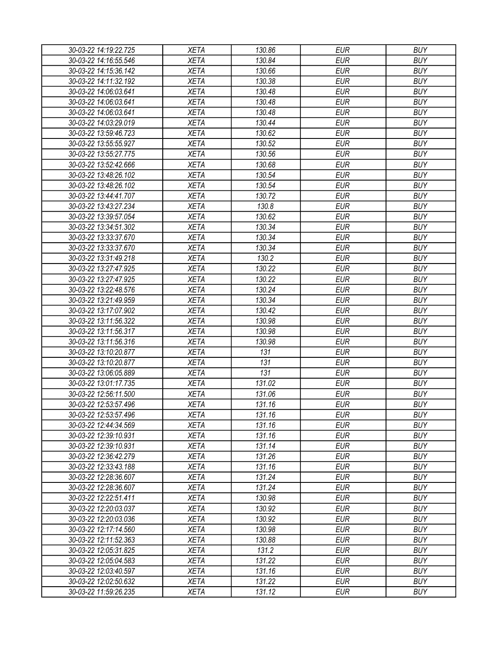| 30-03-22 14:19:22.725 | XETA        | 130.86 | EUR        | <b>BUY</b> |
|-----------------------|-------------|--------|------------|------------|
| 30-03-22 14:16:55.546 | <b>XETA</b> | 130.84 | <b>EUR</b> | <b>BUY</b> |
| 30-03-22 14:15:36.142 | <b>XETA</b> | 130.66 | <b>EUR</b> | <b>BUY</b> |
| 30-03-22 14:11:32.192 | <b>XETA</b> | 130.38 | <b>EUR</b> | <b>BUY</b> |
| 30-03-22 14:06:03.641 | <b>XETA</b> | 130.48 | <b>EUR</b> | <b>BUY</b> |
| 30-03-22 14:06:03.641 | <b>XETA</b> | 130.48 | <b>EUR</b> | <b>BUY</b> |
| 30-03-22 14:06:03.641 | <b>XETA</b> | 130.48 | <b>EUR</b> | <b>BUY</b> |
| 30-03-22 14:03:29.019 | <b>XETA</b> | 130.44 | <b>EUR</b> | <b>BUY</b> |
| 30-03-22 13:59:46.723 | <b>XETA</b> | 130.62 | <b>EUR</b> | <b>BUY</b> |
| 30-03-22 13:55:55.927 | <b>XETA</b> | 130.52 | <b>EUR</b> | <b>BUY</b> |
| 30-03-22 13:55:27.775 | <b>XETA</b> | 130.56 | <b>EUR</b> | <b>BUY</b> |
| 30-03-22 13:52:42.666 | <b>XETA</b> | 130.68 | <b>EUR</b> | <b>BUY</b> |
| 30-03-22 13:48:26.102 | <b>XETA</b> | 130.54 | <b>EUR</b> | <b>BUY</b> |
| 30-03-22 13:48:26.102 | <b>XETA</b> | 130.54 | <b>EUR</b> | <b>BUY</b> |
| 30-03-22 13:44:41.707 | <b>XETA</b> | 130.72 | <b>EUR</b> | <b>BUY</b> |
| 30-03-22 13:43:27.234 | <b>XETA</b> | 130.8  | <b>EUR</b> | <b>BUY</b> |
| 30-03-22 13:39:57.054 | <b>XETA</b> | 130.62 | <b>EUR</b> | <b>BUY</b> |
| 30-03-22 13:34:51.302 | <b>XETA</b> | 130.34 | <b>EUR</b> | <b>BUY</b> |
| 30-03-22 13:33:37.670 | <b>XETA</b> | 130.34 | <b>EUR</b> | <b>BUY</b> |
| 30-03-22 13:33:37.670 | <b>XETA</b> | 130.34 | <b>EUR</b> | <b>BUY</b> |
| 30-03-22 13:31:49.218 | <b>XETA</b> | 130.2  | <b>EUR</b> | <b>BUY</b> |
| 30-03-22 13:27:47.925 | <b>XETA</b> | 130.22 | <b>EUR</b> | <b>BUY</b> |
| 30-03-22 13:27:47.925 | <b>XETA</b> | 130.22 | <b>EUR</b> | <b>BUY</b> |
| 30-03-22 13:22:48.576 | <b>XETA</b> | 130.24 | <b>EUR</b> | <b>BUY</b> |
| 30-03-22 13:21:49.959 | <b>XETA</b> | 130.34 | <b>EUR</b> | <b>BUY</b> |
| 30-03-22 13:17:07.902 | <b>XETA</b> | 130.42 | EUR        | <b>BUY</b> |
| 30-03-22 13:11:56.322 | <b>XETA</b> | 130.98 | <b>EUR</b> | <b>BUY</b> |
| 30-03-22 13:11:56.317 | <b>XETA</b> | 130.98 | <b>EUR</b> | <b>BUY</b> |
| 30-03-22 13:11:56.316 | <b>XETA</b> | 130.98 | <b>EUR</b> | <b>BUY</b> |
| 30-03-22 13:10:20.877 | <b>XETA</b> | 131    | <b>EUR</b> | <b>BUY</b> |
| 30-03-22 13:10:20.877 | <b>XETA</b> | 131    | <b>EUR</b> | <b>BUY</b> |
| 30-03-22 13:06:05.889 | <b>XETA</b> | 131    | <b>EUR</b> | <b>BUY</b> |
| 30-03-22 13:01:17.735 | <b>XETA</b> | 131.02 | <b>EUR</b> | <b>BUY</b> |
| 30-03-22 12:56:11.500 | <b>XETA</b> | 131.06 | <b>EUR</b> | <b>BUY</b> |
| 30-03-22 12:53:57.496 | <b>XETA</b> | 131.16 | <b>EUR</b> | <b>BUY</b> |
| 30-03-22 12:53:57.496 | <b>XETA</b> | 131.16 | <b>EUR</b> | <b>BUY</b> |
| 30-03-22 12:44:34.569 | <b>XETA</b> | 131.16 | <b>EUR</b> | <b>BUY</b> |
| 30-03-22 12:39:10.931 | <b>XETA</b> | 131.16 | <b>EUR</b> | <b>BUY</b> |
|                       | <b>XETA</b> | 131.14 | <b>EUR</b> | <b>BUY</b> |
| 30-03-22 12:39:10.931 |             |        |            | <b>BUY</b> |
| 30-03-22 12:36:42.279 | <b>XETA</b> | 131.26 | <b>EUR</b> |            |
| 30-03-22 12:33:43.188 | <b>XETA</b> | 131.16 | <b>EUR</b> | <b>BUY</b> |
| 30-03-22 12:28:36.607 | <b>XETA</b> | 131.24 | <b>EUR</b> | <b>BUY</b> |
| 30-03-22 12:28:36.607 | <b>XETA</b> | 131.24 | <b>EUR</b> | <b>BUY</b> |
| 30-03-22 12:22:51.411 | <b>XETA</b> | 130.98 | <b>EUR</b> | <b>BUY</b> |
| 30-03-22 12:20:03.037 | <b>XETA</b> | 130.92 | <b>EUR</b> | <b>BUY</b> |
| 30-03-22 12:20:03.036 | <b>XETA</b> | 130.92 | <b>EUR</b> | <b>BUY</b> |
| 30-03-22 12:17:14.560 | <b>XETA</b> | 130.98 | <b>EUR</b> | <b>BUY</b> |
| 30-03-22 12:11:52.363 | <b>XETA</b> | 130.88 | <b>EUR</b> | <b>BUY</b> |
| 30-03-22 12:05:31.825 | <b>XETA</b> | 131.2  | <b>EUR</b> | <b>BUY</b> |
| 30-03-22 12:05:04.583 | <b>XETA</b> | 131.22 | <b>EUR</b> | <b>BUY</b> |
| 30-03-22 12:03:40.597 | <b>XETA</b> | 131.16 | EUR        | <b>BUY</b> |
| 30-03-22 12:02:50.632 | <b>XETA</b> | 131.22 | <b>EUR</b> | <b>BUY</b> |
| 30-03-22 11:59:26.235 | <b>XETA</b> | 131.12 | <b>EUR</b> | <b>BUY</b> |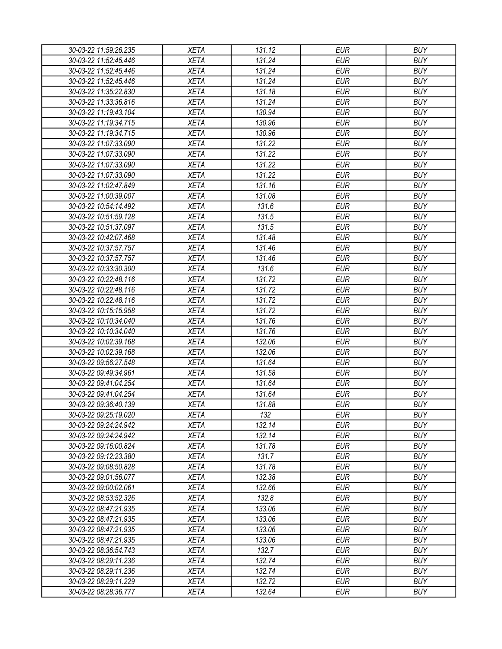| 30-03-22 11:59:26.235                          | XETA        | 131.12 | EUR        | <b>BUY</b> |
|------------------------------------------------|-------------|--------|------------|------------|
| 30-03-22 11:52:45.446                          | <b>XETA</b> | 131.24 | <b>EUR</b> | <b>BUY</b> |
| 30-03-22 11:52:45.446                          | <b>XETA</b> | 131.24 | <b>EUR</b> | <b>BUY</b> |
| 30-03-22 11:52:45.446                          | <b>XETA</b> | 131.24 | <b>EUR</b> | <b>BUY</b> |
| 30-03-22 11:35:22.830                          | <b>XETA</b> | 131.18 | <b>EUR</b> | <b>BUY</b> |
| 30-03-22 11:33:36.816                          | <b>XETA</b> | 131.24 | <b>EUR</b> | <b>BUY</b> |
| 30-03-22 11:19:43.104                          | <b>XETA</b> | 130.94 | <b>EUR</b> | <b>BUY</b> |
| 30-03-22 11:19:34.715                          | <b>XETA</b> | 130.96 | <b>EUR</b> | <b>BUY</b> |
| 30-03-22 11:19:34.715                          | <b>XETA</b> | 130.96 | <b>EUR</b> | <b>BUY</b> |
| 30-03-22 11:07:33.090                          | <b>XETA</b> | 131.22 | <b>EUR</b> | <b>BUY</b> |
| 30-03-22 11:07:33.090                          | <b>XETA</b> | 131.22 | <b>EUR</b> | <b>BUY</b> |
| 30-03-22 11:07:33.090                          | <b>XETA</b> | 131.22 | <b>EUR</b> | <b>BUY</b> |
| 30-03-22 11:07:33.090                          | <b>XETA</b> | 131.22 | <b>EUR</b> | <b>BUY</b> |
| 30-03-22 11:02:47.849                          | <b>XETA</b> | 131.16 | <b>EUR</b> | <b>BUY</b> |
| 30-03-22 11:00:39.007                          | <b>XETA</b> | 131.08 | <b>EUR</b> | <b>BUY</b> |
| 30-03-22 10:54:14.492                          | <b>XETA</b> | 131.6  | <b>EUR</b> | <b>BUY</b> |
| 30-03-22 10:51:59.128                          | <b>XETA</b> | 131.5  | <b>EUR</b> | <b>BUY</b> |
| 30-03-22 10:51:37.097                          | <b>XETA</b> | 131.5  | <b>EUR</b> | <b>BUY</b> |
| 30-03-22 10:42:07.468                          | <b>XETA</b> | 131.48 | <b>EUR</b> | <b>BUY</b> |
| 30-03-22 10:37:57.757                          | <b>XETA</b> | 131.46 | <b>EUR</b> | <b>BUY</b> |
| 30-03-22 10:37:57.757                          | <b>XETA</b> | 131.46 | <b>EUR</b> | <b>BUY</b> |
| 30-03-22 10:33:30.300                          | <b>XETA</b> | 131.6  | <b>EUR</b> | <b>BUY</b> |
| 30-03-22 10:22:48.116                          | <b>XETA</b> | 131.72 | <b>EUR</b> | <b>BUY</b> |
| 30-03-22 10:22:48.116                          | <b>XETA</b> | 131.72 | <b>EUR</b> | <b>BUY</b> |
| 30-03-22 10:22:48.116                          | <b>XETA</b> | 131.72 | <b>EUR</b> | <b>BUY</b> |
| 30-03-22 10:15:15.958                          | <b>XETA</b> | 131.72 | EUR        | <b>BUY</b> |
| 30-03-22 10:10:34.040                          | <b>XETA</b> | 131.76 | <b>EUR</b> | <b>BUY</b> |
| 30-03-22 10:10:34.040                          | <b>XETA</b> | 131.76 | <b>EUR</b> | <b>BUY</b> |
| 30-03-22 10:02:39.168                          | <b>XETA</b> | 132.06 | <b>EUR</b> | <b>BUY</b> |
| 30-03-22 10:02:39.168                          | <b>XETA</b> | 132.06 | <b>EUR</b> | <b>BUY</b> |
| 30-03-22 09:56:27.548                          | <b>XETA</b> | 131.64 | <b>EUR</b> | <b>BUY</b> |
| 30-03-22 09:49:34.961                          | <b>XETA</b> | 131.58 | <b>EUR</b> | <b>BUY</b> |
| 30-03-22 09:41:04.254                          | <b>XETA</b> | 131.64 | <b>EUR</b> | <b>BUY</b> |
|                                                |             |        | <b>EUR</b> | <b>BUY</b> |
| 30-03-22 09:41:04.254                          | <b>XETA</b> | 131.64 | <b>EUR</b> |            |
| 30-03-22 09:36:40.139                          | <b>XETA</b> | 131.88 |            | <b>BUY</b> |
| 30-03-22 09:25:19.020<br>30-03-22 09:24:24.942 | <b>XETA</b> | 132    | <b>EUR</b> | <b>BUY</b> |
|                                                | <b>XETA</b> | 132.14 | <b>EUR</b> | <b>BUY</b> |
| 30-03-22 09:24:24.942                          | <b>XETA</b> | 132.14 | <b>EUR</b> | <b>BUY</b> |
| 30-03-22 09:16:00.824                          | <b>XETA</b> | 131.78 | <b>EUR</b> | <b>BUY</b> |
| 30-03-22 09:12:23.380                          | <b>XETA</b> | 131.7  | <b>EUR</b> | <b>BUY</b> |
| 30-03-22 09:08:50.828                          | <b>XETA</b> | 131.78 | <b>EUR</b> | <b>BUY</b> |
| 30-03-22 09:01:56.077                          | <b>XETA</b> | 132.38 | <b>EUR</b> | <b>BUY</b> |
| 30-03-22 09:00:02.061                          | <b>XETA</b> | 132.66 | <b>EUR</b> | <b>BUY</b> |
| 30-03-22 08:53:52.326                          | <b>XETA</b> | 132.8  | <b>EUR</b> | <b>BUY</b> |
| 30-03-22 08:47:21.935                          | <b>XETA</b> | 133.06 | <b>EUR</b> | <b>BUY</b> |
| 30-03-22 08:47:21.935                          | <b>XETA</b> | 133.06 | <b>EUR</b> | <b>BUY</b> |
| 30-03-22 08:47:21.935                          | <b>XETA</b> | 133.06 | <b>EUR</b> | <b>BUY</b> |
| 30-03-22 08:47:21.935                          | <b>XETA</b> | 133.06 | <b>EUR</b> | <b>BUY</b> |
| 30-03-22 08:36:54.743                          | <b>XETA</b> | 132.7  | <b>EUR</b> | <b>BUY</b> |
| 30-03-22 08:29:11.236                          | <b>XETA</b> | 132.74 | <b>EUR</b> | <b>BUY</b> |
| 30-03-22 08:29:11.236                          | <b>XETA</b> | 132.74 | EUR        | <b>BUY</b> |
| 30-03-22 08:29:11.229                          | <b>XETA</b> | 132.72 | <b>EUR</b> | <b>BUY</b> |
| 30-03-22 08:28:36.777                          | <b>XETA</b> | 132.64 | <b>EUR</b> | <b>BUY</b> |